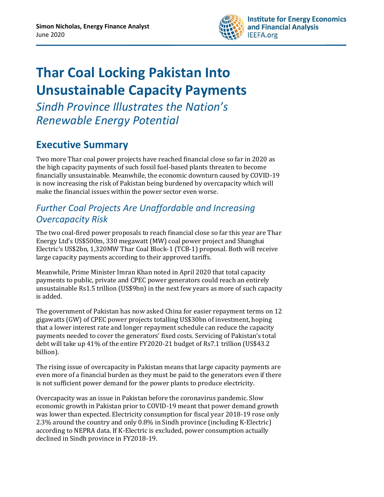

# **Thar Coal Locking Pakistan Into Unsustainable Capacity Payments**

*Sindh Province Illustrates the Nation's Renewable Energy Potential*

## <span id="page-0-0"></span>**Executive Summary**

Two more Thar coal power projects have reached financial close so far in 2020 as the high capacity payments of such fossil fuel-based plants threaten to become financially unsustainable. Meanwhile, the economic downturn caused by COVID-19 is now increasing the risk of Pakistan being burdened by overcapacity which will make the financial issues within the power sector even worse.

### *Further Coal Projects Are Unaffordable and Increasing Overcapacity Risk*

The two coal-fired power proposals to reach financial close so far this year are Thar Energy Ltd's US\$500m, 330 megawatt (MW) coal power project and Shanghai Electric's US\$2bn, 1,320MW Thar Coal Block-1 (TCB-1) proposal. Both will receive large capacity payments according to their approved tariffs.

Meanwhile, Prime Minister Imran Khan noted in April 2020 that total capacity payments to public, private and CPEC power generators could reach an entirely unsustainable Rs1.5 trillion (US\$9bn) in the next few years as more of such capacity is added.

The government of Pakistan has now asked China for easier repayment terms on 12 gigawatts (GW) of CPEC power projects totalling US\$30bn of investment, hoping that a lower interest rate and longer repayment schedule can reduce the capacity payments needed to cover the generators' fixed costs. Servicing of Pakistan's total debt will take up 41% of the entire FY2020-21 budget of Rs7.1 trillion (US\$43.2 billion).

The rising issue of overcapacity in Pakistan means that large capacity payments are even more of a financial burden as they must be paid to the generators even if there is not sufficient power demand for the power plants to produce electricity.

Overcapacity was an issue in Pakistan before the coronavirus pandemic. Slow economic growth in Pakistan prior to COVID-19 meant that power demand growth was lower than expected. Electricity consumption for fiscal year 2018-19 rose only 2.3% around the country and only 0.8% in Sindh province (including K-Electric) according to NEPRA data. If K-Electric is excluded, power consumption actually declined in Sindh province in FY2018-19.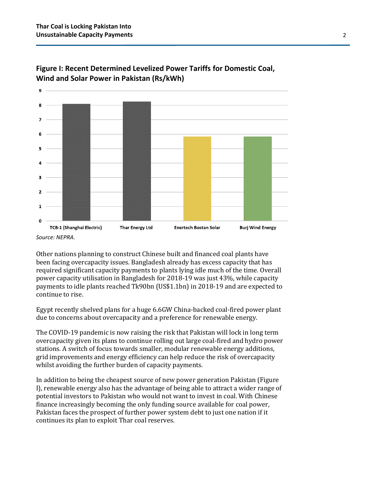



Other nations planning to construct Chinese built and financed coal plants have been facing overcapacity issues. Bangladesh already has excess capacity that has required significant capacity payments to plants lying idle much of the time. Overall power capacity utilisation in Bangladesh for 2018-19 was just 43%, while capacity payments to idle plants reached Tk90bn (US\$1.1bn) in 2018-19 and are expected to continue to rise.

Egypt recently shelved plans for a huge 6.6GW China-backed coal-fired power plant due to concerns about overcapacity and a preference for renewable energy.

The COVID-19 pandemic is now raising the risk that Pakistan will lock in long term overcapacity given its plans to continue rolling out large coal-fired and hydro power stations. A switch of focus towards smaller, modular renewable energy additions, grid improvements and energy efficiency can help reduce the risk of overcapacity whilst avoiding the further burden of capacity payments.

In addition to being the cheapest source of new power generation Pakistan (Figure I), renewable energy also has the advantage of being able to attract a wider range of potential investors to Pakistan who would not want to invest in coal. With Chinese finance increasingly becoming the only funding source available for coal power, Pakistan faces the prospect of further power system debt to just one nation if it continues its plan to exploit Thar coal reserves.

*Source: NEPRA.*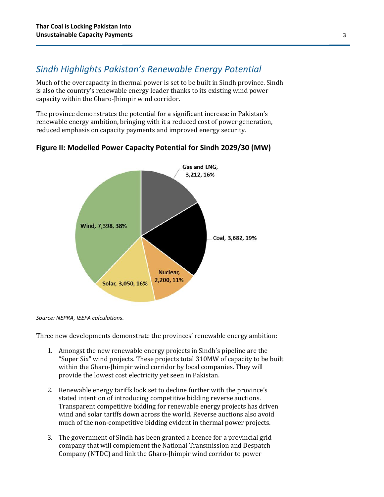### *Sindh Highlights Pakistan's Renewable Energy Potential*

Much of the overcapacity in thermal power is set to be built in Sindh province. Sindh is also the country's renewable energy leader thanks to its existing wind power capacity within the Gharo-Jhimpir wind corridor.

The province demonstrates the potential for a significant increase in Pakistan's renewable energy ambition, bringing with it a reduced cost of power generation, reduced emphasis on capacity payments and improved energy security.



#### **Figure II: Modelled Power Capacity Potential for Sindh 2029/30 (MW)**

*Source: NEPRA, IEEFA calculations.*

Three new developments demonstrate the provinces' renewable energy ambition:

- 1. Amongst the new renewable energy projects in Sindh's pipeline are the "Super Six" wind projects. These projects total 310MW of capacity to be built within the Gharo-Jhimpir wind corridor by local companies. They will provide the lowest cost electricity yet seen in Pakistan.
- 2. Renewable energy tariffs look set to decline further with the province's stated intention of introducing competitive bidding reverse auctions. Transparent competitive bidding for renewable energy projects has driven wind and solar tariffs down across the world. Reverse auctions also avoid much of the non-competitive bidding evident in thermal power projects.
- 3. The government of Sindh has been granted a licence for a provincial grid company that will complement the National Transmission and Despatch Company (NTDC) and link the Gharo-Jhimpir wind corridor to power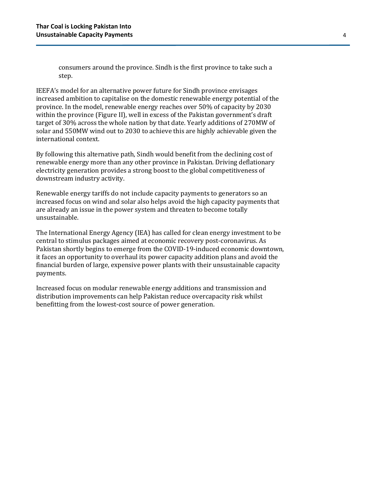consumers around the province. Sindh is the first province to take such a step.

IEEFA's model for an alternative power future for Sindh province envisages increased ambition to capitalise on the domestic renewable energy potential of the province. In the model, renewable energy reaches over 50% of capacity by 2030 within the province (Figure II), well in excess of the Pakistan government's draft target of 30% across the whole nation by that date. Yearly additions of 270MW of solar and 550MW wind out to 2030 to achieve this are highly achievable given the international context.

By following this alternative path, Sindh would benefit from the declining cost of renewable energy more than any other province in Pakistan. Driving deflationary electricity generation provides a strong boost to the global competitiveness of downstream industry activity.

Renewable energy tariffs do not include capacity payments to generators so an increased focus on wind and solar also helps avoid the high capacity payments that are already an issue in the power system and threaten to become totally unsustainable.

The International Energy Agency (IEA) has called for clean energy investment to be central to stimulus packages aimed at economic recovery post-coronavirus. As Pakistan shortly begins to emerge from the COVID-19-induced economic downtown, it faces an opportunity to overhaul its power capacity addition plans and avoid the financial burden of large, expensive power plants with their unsustainable capacity payments.

Increased focus on modular renewable energy additions and transmission and distribution improvements can help Pakistan reduce overcapacity risk whilst benefitting from the lowest-cost source of power generation.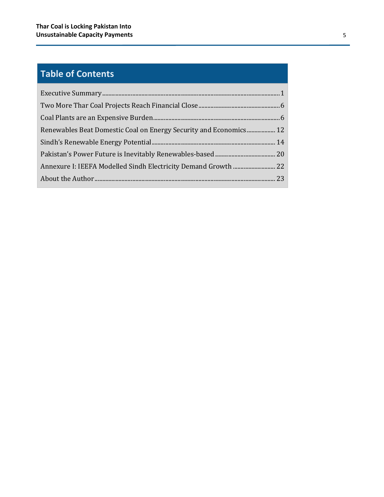## **Table of Contents**

| Renewables Beat Domestic Coal on Energy Security and Economics 12 |  |
|-------------------------------------------------------------------|--|
|                                                                   |  |
|                                                                   |  |
|                                                                   |  |
|                                                                   |  |
|                                                                   |  |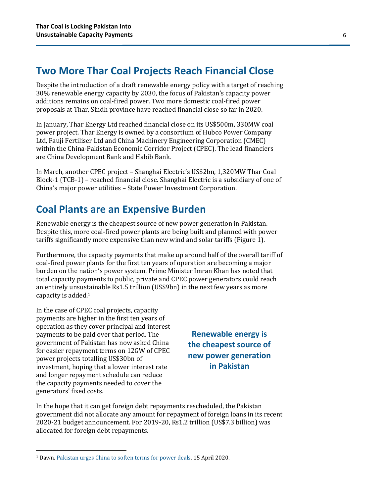### <span id="page-5-0"></span>**Two More Thar Coal Projects Reach Financial Close**

Despite the introduction of a draft renewable energy policy with a target of reaching 30% renewable energy capacity by 2030, the focus of Pakistan's capacity power additions remains on coal-fired power. Two more domestic coal-fired power proposals at Thar, Sindh province have reached financial close so far in 2020.

In January, Thar Energy Ltd reached financial close on its US\$500m, 330MW coal power project. Thar Energy is owned by a consortium of Hubco Power Company Ltd, Fauji Fertiliser Ltd and China Machinery Engineering Corporation (CMEC) within the China-Pakistan Economic Corridor Project (CPEC). The lead financiers are China Development Bank and Habib Bank.

In March, another CPEC project – Shanghai Electric's US\$2bn, 1,320MW Thar Coal Block-1 (TCB-1) – reached financial close. Shanghai Electric is a subsidiary of one of China's major power utilities – State Power Investment Corporation.

### <span id="page-5-1"></span>**Coal Plants are an Expensive Burden**

Renewable energy is the cheapest source of new power generation in Pakistan. Despite this, more coal-fired power plants are being built and planned with power tariffs significantly more expensive than new wind and solar tariffs (Figure 1).

Furthermore, the capacity payments that make up around half of the overall tariff of coal-fired power plants for the first ten years of operation are becoming a major burden on the nation's power system. Prime Minister Imran Khan has noted that total capacity payments to public, private and CPEC power generators could reach an entirely unsustainable Rs1.5 trillion (US\$9bn) in the next few years as more capacity is added.1

In the case of CPEC coal projects, capacity payments are higher in the first ten years of operation as they cover principal and interest payments to be paid over that period. The government of Pakistan has now asked China for easier repayment terms on 12GW of CPEC power projects totalling US\$30bn of investment, hoping that a lower interest rate and longer repayment schedule can reduce the capacity payments needed to cover the generators' fixed costs.

**Renewable energy is the cheapest source of new power generation in Pakistan**

In the hope that it can get foreign debt repayments rescheduled, the Pakistan government did not allocate any amount for repayment of foreign loans in its recent 2020-21 budget announcement. For 2019-20, Rs1.2 trillion (US\$7.3 billion) was allocated for foreign debt repayments.

<sup>1</sup> Dawn[. Pakistan urges China to soften terms for power deals.](https://www.dawn.com/news/1549299/pakistan-urges-china-to-soften-terms-for-power-deals) 15 April 2020.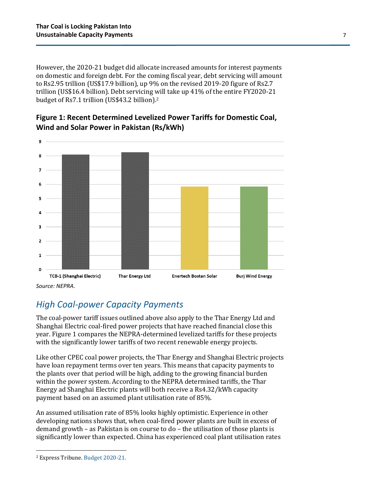However, the 2020-21 budget did allocate increased amounts for interest payments on domestic and foreign debt. For the coming fiscal year, debt servicing will amount to Rs2.95 trillion (US\$17.9 billion), up 9% on the revised 2019-20 figure of Rs2.7 trillion (US\$16.4 billion). Debt servicing will take up 41% of the entire FY2020-21 budget of Rs7.1 trillion (US\$43.2 billion).2



**Figure 1: Recent Determined Levelized Power Tariffs for Domestic Coal, Wind and Solar Power in Pakistan (Rs/kWh)**

### *High Coal-power Capacity Payments*

The coal-power tariff issues outlined above also apply to the Thar Energy Ltd and Shanghai Electric coal-fired power projects that have reached financial close this year. Figure 1 compares the NEPRA-determined levelized tariffs for these projects with the significantly lower tariffs of two recent renewable energy projects.

Like other CPEC coal power projects, the Thar Energy and Shanghai Electric projects have loan repayment terms over ten years. This means that capacity payments to the plants over that period will be high, adding to the growing financial burden within the power system. According to the NEPRA determined tariffs, the Thar Energy ad Shanghai Electric plants will both receive a Rs4.32/kWh capacity payment based on an assumed plant utilisation rate of 85%.

An assumed utilisation rate of 85% looks highly optimistic. Experience in other developing nations shows that, when coal-fired power plants are built in excess of demand growth – as Pakistan is on course to do – the utilisation of those plants is significantly lower than expected. China has experienced coal plant utilisation rates

<sup>2</sup> Express Tribune. [Budget 2020-21.](https://newslab.tribune.com.pk/budget-2020-21/)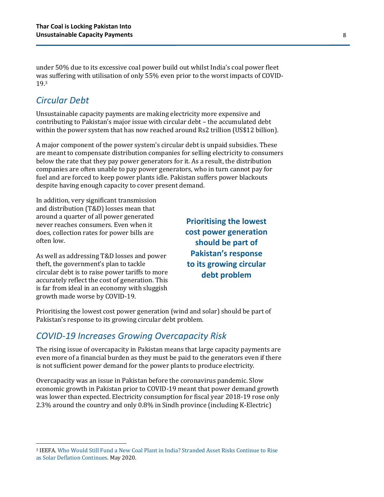under 50% due to its excessive coal power build out whilst India's coal power fleet was suffering with utilisation of only 55% even prior to the worst impacts of COVID-19.3

### *Circular Debt*

Unsustainable capacity payments are making electricity more expensive and contributing to Pakistan's major issue with circular debt – the accumulated debt within the power system that has now reached around Rs2 trillion (US\$12 billion).

A major component of the power system's circular debt is unpaid subsidies. These are meant to compensate distribution companies for selling electricity to consumers below the rate that they pay power generators for it. As a result, the distribution companies are often unable to pay power generators, who in turn cannot pay for fuel and are forced to keep power plants idle. Pakistan suffers power blackouts despite having enough capacity to cover present demand.

In addition, very significant transmission and distribution (T&D) losses mean that around a quarter of all power generated never reaches consumers. Even when it does, collection rates for power bills are often low.

As well as addressing T&D losses and power theft, the government's plan to tackle circular debt is to raise power tariffs to more accurately reflect the cost of generation. This is far from ideal in an economy with sluggish growth made worse by COVID-19.

**Prioritising the lowest cost power generation should be part of Pakistan's response to its growing circular debt problem**

Prioritising the lowest cost power generation (wind and solar) should be part of Pakistan's response to its growing circular debt problem.

### *COVID-19 Increases Growing Overcapacity Risk*

The rising issue of overcapacity in Pakistan means that large capacity payments are even more of a financial burden as they must be paid to the generators even if there is not sufficient power demand for the power plants to produce electricity.

Overcapacity was an issue in Pakistan before the coronavirus pandemic. Slow economic growth in Pakistan prior to COVID-19 meant that power demand growth was lower than expected. Electricity consumption for fiscal year 2018-19 rose only 2.3% around the country and only 0.8% in Sindh province (including K-Electric)

<sup>3</sup> IEEFA. [Who Would Still Fund a New Coal Plant in India? Stranded Asset Risks Continue to Rise](https://ieefa.org/wp-content/uploads/2020/05/IEEFA_Who-Would-Still-Fund-a-New-Coal-Power-Plant-in-India_May-2020.pdf)  [as Solar Deflation Continues.](https://ieefa.org/wp-content/uploads/2020/05/IEEFA_Who-Would-Still-Fund-a-New-Coal-Power-Plant-in-India_May-2020.pdf) May 2020.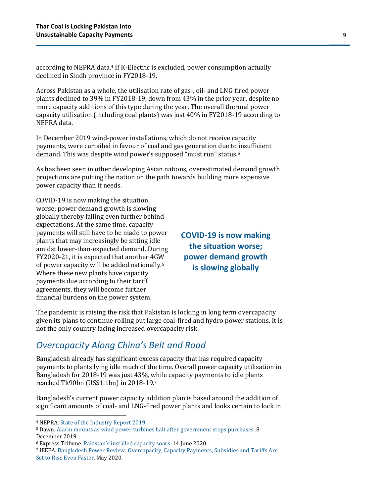according to NEPRA data.4 If K-Electric is excluded, power consumption actually declined in Sindh province in FY2018-19.

Across Pakistan as a whole, the utilisation rate of gas-, oil- and LNG-fired power plants declined to 39% in FY2018-19, down from 43% in the prior year, despite no more capacity additions of this type during the year. The overall thermal power capacity utilisation (including coal plants) was just 40% in FY2018-19 according to NEPRA data.

In December 2019 wind-power installations, which do not receive capacity payments, were curtailed in favour of coal and gas generation due to insufficient demand. This was despite wind power's supposed "must run" status.<sup>5</sup>

As has been seen in other developing Asian nations, overestimated demand growth projections are putting the nation on the path towards building more expensive power capacity than it needs.

COVID-19 is now making the situation worse; power demand growth is slowing globally thereby falling even further behind expectations. At the same time, capacity payments will still have to be made to power plants that may increasingly be sitting idle amidst lower-than-expected demand. During FY2020-21, it is expected that another 4GW of power capacity will be added nationally.6 Where these new plants have capacity payments due according to their tariff agreements, they will become further financial burdens on the power system.

**COVID-19 is now making the situation worse; power demand growth is slowing globally** 

The pandemic is raising the risk that Pakistan is locking in long term overcapacity given its plans to continue rolling out large coal-fired and hydro power stations. It is not the only country facing increased overcapacity risk.

### *Overcapacity Along China's Belt and Road*

Bangladesh already has significant excess capacity that has required capacity payments to plants lying idle much of the time. Overall power capacity utilisation in Bangladesh for 2018-19 was just 43%, while capacity payments to idle plants reached Tk90bn (US\$1.1bn) in 2018-19.7

Bangladesh's current power capacity addition plan is based around the addition of significant amounts of coal- and LNG-fired power plants and looks certain to lock in

<sup>4</sup> NEPRA[. State of the Industry Report 2019.](https://nepra.org.pk/publications/State%20of%20Industry%20Reports.php)

<sup>5</sup> Dawn[. Alarm mounts as wind power turbines halt after government stops purchases.](https://www.dawn.com/news/1521088) 8 December 2019.

<sup>6</sup> Express Tribune. [Pakistan's installed capacity soars](https://tribune.com.pk/story/2242155/2-pakistans-installed-power-capacity-soars/). 14 June 2020.

<sup>7</sup> IEEFA. [Bangladesh Power Review: Overcapacity, Capacity Payments, Subsidies and Tariffs Are](https://ieefa.org/wp-content/uploads/2020/05/Bangladesh-Power-Review_May-2020.pdf)  [Set to Rise Even Faster.](https://ieefa.org/wp-content/uploads/2020/05/Bangladesh-Power-Review_May-2020.pdf) May 2020.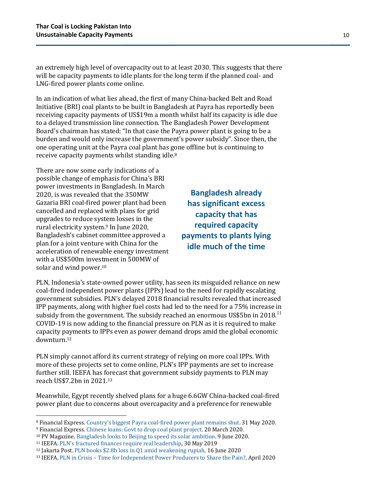an extremely high level of overcapacity out to at least 2030. This suggests that there will be capacity payments to idle plants for the long term if the planned coal- and LNG-fired power plants come online.

In an indication of what lies ahead, the first of many China-backed Belt and Road Initiative (BRI) coal plants to be built in Bangladesh at Payra has reportedly been receiving capacity payments of US\$19m a month whilst half its capacity is idle due to a delayed transmission line connection. The Bangladesh Power Development Board's chairman has stated: "In that case the Payra power plant is going to be a burden and would only increase the government's power subsidy". Since then, the one operating unit at the Payra coal plant has gone offline but is continuing to receive capacity payments whilst standing idle.8

There are now some early indications of a possible change of emphasis for China's BRI power investments in Bangladesh. In March 2020, is was revealed that the 350MW Gazaria BRI coal-fired power plant had been cancelled and replaced with plans for grid upgrades to reduce system losses in the rural electricity system. <sup>9</sup> In June 2020, Bangladesh's cabinet committee approved a plan for a joint venture with China for the acceleration of renewable energy investment with a US\$500m investment in 500MW of solar and wind power.<sup>10</sup>

**Bangladesh already has significant excess capacity that has required capacity payments to plants lying idle much of the time**

PLN, Indonesia's state-owned power utility, has seen its misguided reliance on new coal-fired independent power plants (IPPs) lead to the need for rapidly escalating government subsidies. PLN's delayed 2018 financial results revealed that increased IPP payments, along with higher fuel costs had led to the need for a 75% increase in subsidy from the government. The subsidy reached an enormous US\$5bn in 2018.<sup>11</sup> COVID-19 is now adding to the financial pressure on PLN as it is required to make capacity payments to IPPs even as power demand drops amid the global economic downturn.12

PLN simply cannot afford its current strategy of relying on more coal IPPs. With more of these projects set to come online, PLN's IPP payments are set to increase further still. IEEFA has forecast that government subsidy payments to PLN may reach US\$7.2bn in 2021.13

Meanwhile, Egypt recently shelved plans for a huge 6.6GW China-backed coal-fired power plant due to concerns about overcapacity and a preference for renewable

<sup>8</sup> Financial Express. Country's biggest Payra coal[-fired power plant remains shut.](https://thefinancialexpress.com.bd/trade/countrys-biggest-payra-coal-fired-power-plant-remains-shut-1590923302) 31 May 2020.

<sup>9</sup> Financial Express[. Chinese loans: Govt to drop coal plant project.](https://thefinancialexpress.com.bd/trade/chinese-loans-govt-to-drop-coal-plant-project-1584684501) 20 March 2020.

<sup>10</sup> PV Magazine[. Bangladesh looks to Beijing to speed its solar ambition.](https://www.pv-magazine.com/2020/06/09/bangladesh-looks-to-beijing-to-speed-its-solar-ambition/) 9 June 2020.

<sup>11</sup> IEEFA. [PLN's fractured finances require real leadership](https://ieefa.org/indonesia-update-plns-fractured-finances-require-real-leadership/), 30 May 2019

<sup>12</sup> Jakarta Post[. PLN books \\$2.8b loss in Q1 amid weakening rupiah,](https://www.thejakartapost.com/news/2020/06/16/pln-books-2-8b-loss-in-q1-amid-weakening-rupiah.html) 16 June 2020

<sup>13</sup> IEEFA, PLN in Crisis – [Time for Independent Power Producers to Share the Pain?,](https://ieefa.org/wp-content/uploads/2020/04/PLN_Time-for-IPPs-to-Share-the-Pain_April-2020.pdf) April 2020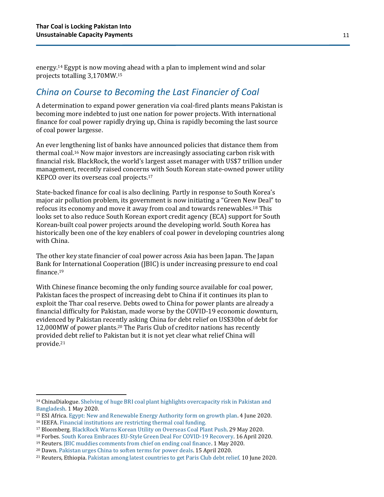energy.14 Egypt is now moving ahead with a plan to implement wind and solar projects totalling 3,170MW. 15

#### *China on Course to Becoming the Last Financier of Coal*

A determination to expand power generation via coal-fired plants means Pakistan is becoming more indebted to just one nation for power projects. With international finance for coal power rapidly drying up, China is rapidly becoming the last source of coal power largesse.

An ever lengthening list of banks have announced policies that distance them from thermal coal.16 Now major investors are increasingly associating carbon risk with financial risk. BlackRock, the world's largest asset manager with US\$7 trillion under management, recently raised concerns with South Korean state-owned power utility KEPCO over its overseas coal projects.17

State-backed finance for coal is also declining. Partly in response to South Korea's major air pollution problem, its government is now initiating a "Green New Deal" to refocus its economy and move it away from coal and towards renewables.18 This looks set to also reduce South Korean export credit agency (ECA) support for South Korean-built coal power projects around the developing world. South Korea has historically been one of the key enablers of coal power in developing countries along with China.

The other key state financier of coal power across Asia has been Japan. The Japan Bank for International Cooperation (JBIC) is under increasing pressure to end coal finance.19

With Chinese finance becoming the only funding source available for coal power, Pakistan faces the prospect of increasing debt to China if it continues its plan to exploit the Thar coal reserve. Debts owed to China for power plants are already a financial difficulty for Pakistan, made worse by the COVID-19 economic downturn, evidenced by Pakistan recently asking China for debt relief on US\$30bn of debt for 12,000MW of power plants.<sup>20</sup> The Paris Club of creditor nations has recently provided debt relief to Pakistan but it is not yet clear what relief China will provide.21

<sup>14</sup> ChinaDialogue[. Shelving of huge BRI coal plant highlights overcapacity risk in Pakistan and](https://www.chinadialogue.net/article/show/single/en/11988-Shelving-of-huge-BRI-coal-plant-highlights-overcapacity-risk-in-Pakistan-and-Bangladesh-)  [Bangladesh.](https://www.chinadialogue.net/article/show/single/en/11988-Shelving-of-huge-BRI-coal-plant-highlights-overcapacity-risk-in-Pakistan-and-Bangladesh-) 1 May 2020.

<sup>15</sup> ESI Africa. [Egypt: New and Renewable Energy Authority form on growth plan.](https://www.esi-africa.com/industry-sectors/renewable-energy/egypt-new-and-renewable-energy-authority-firm-on-growth-plan/) 4 June 2020.

<sup>16</sup> IEEFA[. Financial institutions are restricting thermal coal funding.](https://ieefa.org/finance-exiting-coal/)

<sup>17</sup> Bloomberg[. BlackRock Warns Korean Utility on Overseas Coal Plant Push.](https://www.bloomberg.com/amp/news/articles/2020-05-28/blackrock-warns-korea-s-power-giant-on-overseas-coal-plant-push) 29 May 2020.

<sup>18</sup> Forbes[. South Korea Embraces EU-Style Green Deal For COVID-19 Recovery.](https://www.forbes.com/sites/davidrvetter/2020/04/16/south-korea-embraces-eu-style-green-deal-for-covid-19-recovery/#7b8a5a55611d) 16 April 2020.

<sup>19</sup> Reuters[. JBIC muddies comments from chief on ending coal finance.](https://www.reuters.com/article/us-coal-japan-jbic-climatechange/jbic-muddies-comments-from-chief-on-ending-coal-finance-idUSKBN22D4MG) 1 May 2020.

<sup>20</sup> Dawn. [Pakistan urges China to soften terms for power deals.](https://www.dawn.com/news/1549299) 15 April 2020.

<sup>21</sup> Reuters, Ethiopia[. Pakistan among latest countries to get Paris Club debt relief.](https://www.reuters.com/article/parisclub-debt/ethiopia-pakistan-among-latest-countries-to-get-paris-club-debt-relief-idUSL8N2DN1EX) 10 June 2020.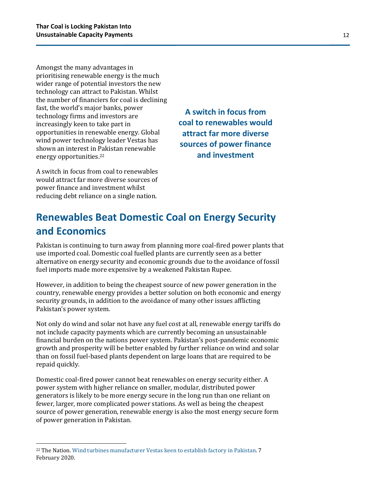Amongst the many advantages in prioritising renewable energy is the much wider range of potential investors the new technology can attract to Pakistan. Whilst the number of financiers for coal is declining fast, the world's major banks, power technology firms and investors are increasingly keen to take part in opportunities in renewable energy. Global wind power technology leader Vestas has shown an interest in Pakistan renewable energy opportunities.22

A switch in focus from coal to renewables would attract far more diverse sources of power finance and investment whilst reducing debt reliance on a single nation.

**A switch in focus from coal to renewables would attract far more diverse sources of power finance and investment** 

## <span id="page-11-0"></span>**Renewables Beat Domestic Coal on Energy Security and Economics**

Pakistan is continuing to turn away from planning more coal-fired power plants that use imported coal. Domestic coal fuelled plants are currently seen as a better alternative on energy security and economic grounds due to the avoidance of fossil fuel imports made more expensive by a weakened Pakistan Rupee.

However, in addition to being the cheapest source of new power generation in the country, renewable energy provides a better solution on both economic and energy security grounds, in addition to the avoidance of many other issues afflicting Pakistan's power system.

Not only do wind and solar not have any fuel cost at all, renewable energy tariffs do not include capacity payments which are currently becoming an unsustainable financial burden on the nations power system. Pakistan's post-pandemic economic growth and prosperity will be better enabled by further reliance on wind and solar than on fossil fuel-based plants dependent on large loans that are required to be repaid quickly.

Domestic coal-fired power cannot beat renewables on energy security either. A power system with higher reliance on smaller, modular, distributed power generators is likely to be more energy secure in the long run than one reliant on fewer, larger, more complicated power stations. As well as being the cheapest source of power generation, renewable energy is also the most energy secure form of power generation in Pakistan.

<sup>&</sup>lt;sup>22</sup> The Nation[. Wind turbines manufacturer Vestas keen to establish factory in Pakistan.](https://nation.com.pk/07-Feb-2020/wind-turbines-manufacturer-vestas-to-keen-establish-factory-in-pakistan) 7 February 2020.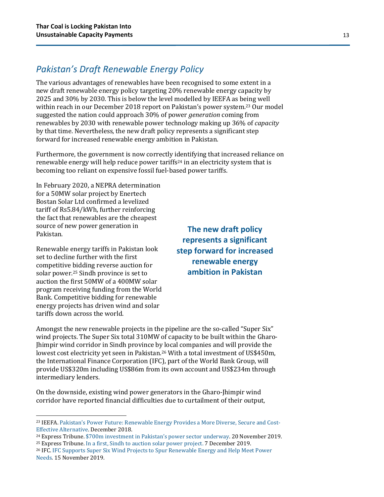### *Pakistan's Draft Renewable Energy Policy*

The various advantages of renewables have been recognised to some extent in a new draft renewable energy policy targeting 20% renewable energy capacity by 2025 and 30% by 2030. This is below the level modelled by IEEFA as being well within reach in our December 2018 report on Pakistan's power system.<sup>23</sup> Our model suggested the nation could approach 30% of power *generation* coming from renewables by 2030 with renewable power technology making up 36% of *capacity* by that time. Nevertheless, the new draft policy represents a significant step forward for increased renewable energy ambition in Pakistan.

Furthermore, the government is now correctly identifying that increased reliance on renewable energy will help reduce power tariffs<sup>24</sup> in an electricity system that is becoming too reliant on expensive fossil fuel-based power tariffs.

In February 2020, a NEPRA determination for a 50MW solar project by Enertech Bostan Solar Ltd confirmed a levelized tariff of Rs5.84/kWh, further reinforcing the fact that renewables are the cheapest source of new power generation in Pakistan.

Renewable energy tariffs in Pakistan look set to decline further with the first competitive bidding reverse auction for solar power.25 Sindh province is set to auction the first 50MW of a 400MW solar program receiving funding from the World Bank. Competitive bidding for renewable energy projects has driven wind and solar tariffs down across the world.

**The new draft policy represents a significant step forward for increased renewable energy ambition in Pakistan**

Amongst the new renewable projects in the pipeline are the so-called "Super Six" wind projects. The Super Six total 310MW of capacity to be built within the Gharo-Jhimpir wind corridor in Sindh province by local companies and will provide the lowest cost electricity yet seen in Pakistan.26 With a total investment of US\$450m, the International Finance Corporation (IFC), part of the World Bank Group, will provide US\$320m including US\$86m from its own account and US\$234m through intermediary lenders.

On the downside, existing wind power generators in the Gharo-Jhimpir wind corridor have reported financial difficulties due to curtailment of their output,

<sup>23</sup> IEEFA. [Pakistan's Power Future: Renewable Energy Provides a More Diverse, Secure and Co](https://ieefa.org/ieefa-report-pakistan-could-build-greater-energy-security-by-increasing-use-of-cheaper-renewables/)st-[Effective Alternative.](https://ieefa.org/ieefa-report-pakistan-could-build-greater-energy-security-by-increasing-use-of-cheaper-renewables/) December 2018.

<sup>24</sup> Express Tribune. [\\$700m investment in Pakistan's power sector underway](https://tribune.com.pk/story/2103479/1-700m-investment-power-sector-way-omar/). 20 November 2019.

<sup>25</sup> Express Tribune[. In a first, Sindh to auction solar power project.](https://tribune.com.pk/story/2113158/2-first-sindh-auction-solar-power-project/) 7 December 2019.

<sup>26</sup> IFC. [IFC Supports Super Six Wind Projects to Spur Renewable Energy and Help Meet Power](https://ifcextapps.ifc.org/IFCExt/Pressroom/IFCPressRoom.nsf/0/C2D9744E04D76455852584B3002C87F5)  [Needs.](https://ifcextapps.ifc.org/IFCExt/Pressroom/IFCPressRoom.nsf/0/C2D9744E04D76455852584B3002C87F5) 15 November 2019.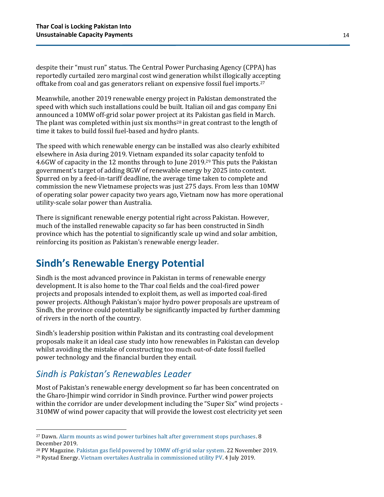despite their "must run" status. The Central Power Purchasing Agency (CPPA) has reportedly curtailed zero marginal cost wind generation whilst illogically accepting offtake from coal and gas generators reliant on expensive fossil fuel imports.27

Meanwhile, another 2019 renewable energy project in Pakistan demonstrated the speed with which such installations could be built. Italian oil and gas company Eni announced a 10MW off-grid solar power project at its Pakistan gas field in March. The plant was completed within just six months<sup>28</sup> in great contrast to the length of time it takes to build fossil fuel-based and hydro plants.

The speed with which renewable energy can be installed was also clearly exhibited elsewhere in Asia during 2019. Vietnam expanded its solar capacity tenfold to 4.6GW of capacity in the 12 months through to June 2019.29 This puts the Pakistan government's target of adding 8GW of renewable energy by 2025 into context. Spurred on by a feed-in-tariff deadline, the average time taken to complete and commission the new Vietnamese projects was just 275 days. From less than 10MW of operating solar power capacity two years ago, Vietnam now has more operational utility-scale solar power than Australia.

There is significant renewable energy potential right across Pakistan. However, much of the installed renewable capacity so far has been constructed in Sindh province which has the potential to significantly scale up wind and solar ambition, reinforcing its position as Pakistan's renewable energy leader.

### <span id="page-13-0"></span>**Sindh's Renewable Energy Potential**

Sindh is the most advanced province in Pakistan in terms of renewable energy development. It is also home to the Thar coal fields and the coal-fired power projects and proposals intended to exploit them, as well as imported coal-fired power projects. Although Pakistan's major hydro power proposals are upstream of Sindh, the province could potentially be significantly impacted by further damming of rivers in the north of the country.

Sindh's leadership position within Pakistan and its contrasting coal development proposals make it an ideal case study into how renewables in Pakistan can develop whilst avoiding the mistake of constructing too much out-of-date fossil fuelled power technology and the financial burden they entail.

### *Sindh is Pakistan's Renewables Leader*

Most of Pakistan's renewable energy development so far has been concentrated on the Gharo-Jhimpir wind corridor in Sindh province. Further wind power projects within the corridor are under development including the "Super Six" wind projects - 310MW of wind power capacity that will provide the lowest cost electricity yet seen

<sup>&</sup>lt;sup>27</sup> Dawn. [Alarm mounts as wind power turbines halt after government stops purchases.](https://www.dawn.com/news/1521088/alarm-mounts-as-wind-power-turbines-halt-after-govt-stops-purchases) 8 December 2019.

<sup>28</sup> PV Magazine[. Pakistan gas field powered by 10MW off-grid solar system.](https://www.pv-magazine.com/2019/11/22/pakistan-gas-field-powered-by-10-mw-off-grid-solar-system/) 22 November 2019.

<sup>29</sup> Rystad Energy[. Vietnam overtakes Australia in commissioned utility PV.](https://www.rystadenergy.com/newsevents/news/press-releases/Vietnam-overtakes-Australia-in-commissioned-utility-PV/) 4 July 2019.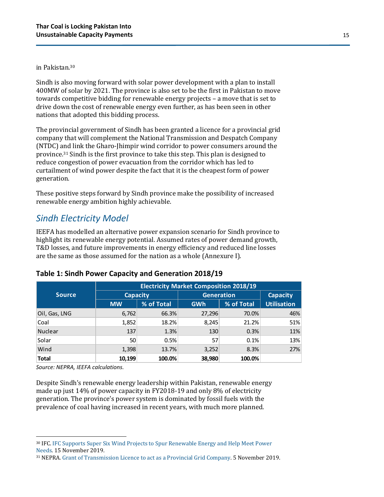#### in Pakistan.30

Sindh is also moving forward with solar power development with a plan to install 400MW of solar by 2021. The province is also set to be the first in Pakistan to move towards competitive bidding for renewable energy projects – a move that is set to drive down the cost of renewable energy even further, as has been seen in other nations that adopted this bidding process.

The provincial government of Sindh has been granted a licence for a provincial grid company that will complement the National Transmission and Despatch Company (NTDC) and link the Gharo-Jhimpir wind corridor to power consumers around the province.31 Sindh is the first province to take this step. This plan is designed to reduce congestion of power evacuation from the corridor which has led to curtailment of wind power despite the fact that it is the cheapest form of power generation.

These positive steps forward by Sindh province make the possibility of increased renewable energy ambition highly achievable.

#### *Sindh Electricity Model*

IEEFA has modelled an alternative power expansion scenario for Sindh province to highlight its renewable energy potential. Assumed rates of power demand growth, T&D losses, and future improvements in energy efficiency and reduced line losses are the same as those assumed for the nation as a whole (Annexure I).

|               | <b>Electricity Market Composition 2018/19</b> |            |                   |                 |                    |  |  |  |  |  |
|---------------|-----------------------------------------------|------------|-------------------|-----------------|--------------------|--|--|--|--|--|
| <b>Source</b> | <b>Capacity</b>                               |            | <b>Generation</b> | <b>Capacity</b> |                    |  |  |  |  |  |
|               | <b>MW</b>                                     | % of Total | <b>GWh</b>        | % of Total      | <b>Utilisation</b> |  |  |  |  |  |
| Oil, Gas, LNG | 6,762                                         | 66.3%      | 27,296            | 70.0%           | 46%                |  |  |  |  |  |
| Coal          | 1,852                                         | 18.2%      | 8,245             | 21.2%           | 51%                |  |  |  |  |  |
| Nuclear       | 137                                           | 1.3%       | 130               | 0.3%            | 11%                |  |  |  |  |  |
| Solar         | 50                                            | 0.5%       | 57                | 0.1%            | 13%                |  |  |  |  |  |
| Wind          | 1,398                                         | 13.7%      | 3,252             | 8.3%            | 27%                |  |  |  |  |  |
| <b>Total</b>  | 10,199                                        | 100.0%     | 38,980            | 100.0%          |                    |  |  |  |  |  |

#### **Table 1: Sindh Power Capacity and Generation 2018/19**

*Source: NEPRA, IEEFA calculations.*

Despite Sindh's renewable energy leadership within Pakistan, renewable energy made up just 14% of power capacity in FY2018-19 and only 8% of electricity generation. The province's power system is dominated by fossil fuels with the prevalence of coal having increased in recent years, with much more planned.

<sup>30</sup> IFC. [IFC Supports Super Six Wind Projects to Spur Renewable Energy and Help Meet Power](https://ifcextapps.ifc.org/IFCExt/Pressroom/IFCPressRoom.nsf/0/C2D9744E04D76455852584B3002C87F5)  [Needs.](https://ifcextapps.ifc.org/IFCExt/Pressroom/IFCPressRoom.nsf/0/C2D9744E04D76455852584B3002C87F5) 15 November 2019.

<sup>31</sup> NEPRA[. Grant of Transmission Licence to act as a Provincial Grid Company.](https://nepra.org.pk/licensing/Licences/Transmission/Provincial%20Grid%20Company/STDC/LAT-06%20TL%20Sindh%20Transmission%20&%20Dispatch%20Company%20Ltd%2005-11-2019.PDF) 5 November 2019.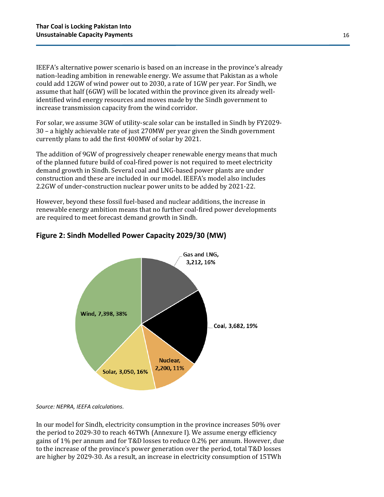IEEFA's alternative power scenario is based on an increase in the province's already nation-leading ambition in renewable energy. We assume that Pakistan as a whole could add 12GW of wind power out to 2030, a rate of 1GW per year. For Sindh, we assume that half (6GW) will be located within the province given its already wellidentified wind energy resources and moves made by the Sindh government to increase transmission capacity from the wind corridor.

For solar, we assume 3GW of utility-scale solar can be installed in Sindh by FY2029- 30 – a highly achievable rate of just 270MW per year given the Sindh government currently plans to add the first 400MW of solar by 2021.

The addition of 9GW of progressively cheaper renewable energy means that much of the planned future build of coal-fired power is not required to meet electricity demand growth in Sindh. Several coal and LNG-based power plants are under construction and these are included in our model. IEEFA's model also includes 2.2GW of under-construction nuclear power units to be added by 2021-22.

However, beyond these fossil fuel-based and nuclear additions, the increase in renewable energy ambition means that no further coal-fired power developments are required to meet forecast demand growth in Sindh.



#### **Figure 2: Sindh Modelled Power Capacity 2029/30 (MW)**

*Source: NEPRA, IEEFA calculations.*

In our model for Sindh, electricity consumption in the province increases 50% over the period to 2029-30 to reach 46TWh (Annexure I). We assume energy efficiency gains of 1% per annum and for T&D losses to reduce 0.2% per annum. However, due to the increase of the province's power generation over the period, total T&D losses are higher by 2029-30. As a result, an increase in electricity consumption of 15TWh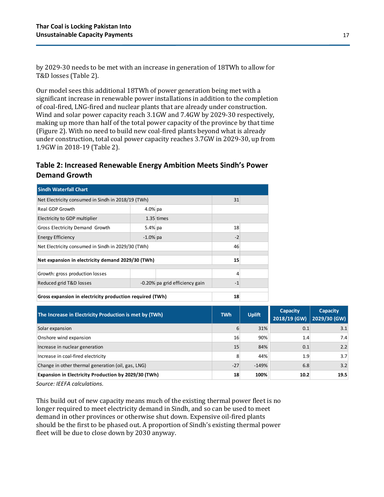by 2029-30 needs to be met with an increase in generation of 18TWh to allow for T&D losses (Table 2).

Our model sees this additional 18TWh of power generation being met with a significant increase in renewable power installations in addition to the completion of coal-fired, LNG-fired and nuclear plants that are already under construction. Wind and solar power capacity reach 3.1GW and 7.4GW by 2029-30 respectively, making up more than half of the total power capacity of the province by that time (Figure 2). With no need to build new coal-fired plants beyond what is already under construction, total coal power capacity reaches 3.7GW in 2029-30, up from 1.9GW in 2018-19 (Table 2).

#### **Table 2: Increased Renewable Energy Ambition Meets Sindh's Power Demand Growth**

| <b>Sindh Waterfall Chart</b>                             |            |                                |      |  |  |  |  |  |
|----------------------------------------------------------|------------|--------------------------------|------|--|--|--|--|--|
| Net Electricity consumed in Sindh in 2018/19 (TWh)       | 31         |                                |      |  |  |  |  |  |
| Real GDP Growth                                          | $4.0\%$ pa |                                |      |  |  |  |  |  |
| Electricity to GDP multiplier                            |            |                                |      |  |  |  |  |  |
| Gross Electricity Demand Growth                          | 18         |                                |      |  |  |  |  |  |
| <b>Energy Efficiency</b>                                 | $-2$       |                                |      |  |  |  |  |  |
| Net Electricity consumed in Sindh in 2029/30 (TWh)       | 46         |                                |      |  |  |  |  |  |
| Net expansion in electricity demand 2029/30 (TWh)        | 15         |                                |      |  |  |  |  |  |
|                                                          |            |                                |      |  |  |  |  |  |
| Growth: gross production losses                          |            |                                | 4    |  |  |  |  |  |
| Reduced grid T&D losses                                  |            | -0.20% pa grid efficiency gain | $-1$ |  |  |  |  |  |
|                                                          |            |                                |      |  |  |  |  |  |
| Gross expansion in electricity production required (TWh) | 18         |                                |      |  |  |  |  |  |

| The Increase in Electricity Production is met by (TWh) | <b>TWh</b> | <b>Uplift</b> | <b>Capacity</b><br>2018/19 (GW) | <b>Capacity</b><br>2029/30 (GW) |
|--------------------------------------------------------|------------|---------------|---------------------------------|---------------------------------|
| Solar expansion                                        | 6          | 31%           | 0.1                             | 3.1                             |
| Onshore wind expansion                                 | 16         | 90%           | 1.4                             | 7.4                             |
| Increase in nuclear generation                         | 15         | 84%           | 0.1                             | 2.2                             |
| Increase in coal-fired electricity                     | 8          | 44%           | 1.9                             | 3.7                             |
| Change in other thermal generation (oil, gas, LNG)     | $-27$      | $-149%$       | 6.8                             | 3.2                             |
| Expansion in Electricity Production by 2029/30 (TWh)   | 18         | 100%          | 10.2                            | 19.5                            |

*Source: IEEFA calculations.*

This build out of new capacity means much of the existing thermal power fleet is no longer required to meet electricity demand in Sindh, and so can be used to meet demand in other provinces or otherwise shut down. Expensive oil-fired plants should be the first to be phased out. A proportion of Sindh's existing thermal power fleet will be due to close down by 2030 anyway.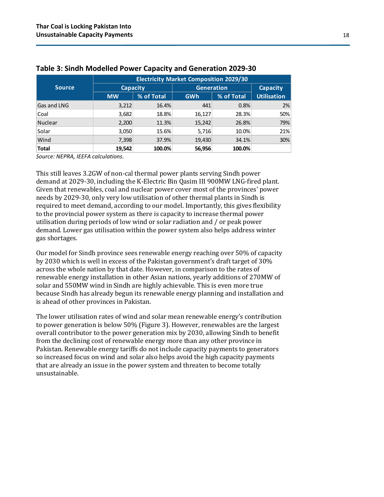|                | <b>Electricity Market Composition 2029/30</b> |            |                   |            |                    |  |  |  |  |
|----------------|-----------------------------------------------|------------|-------------------|------------|--------------------|--|--|--|--|
| <b>Source</b>  | <b>Capacity</b>                               |            | <b>Generation</b> | Capacity   |                    |  |  |  |  |
|                | <b>MW</b>                                     | % of Total | <b>GWh</b>        | % of Total | <b>Utilisation</b> |  |  |  |  |
| Gas and LNG    | 3,212                                         | 16.4%      | 441               | 0.8%       | 2%                 |  |  |  |  |
| Coal           | 3,682                                         | 18.8%      | 16,127            | 28.3%      | 50%                |  |  |  |  |
| <b>Nuclear</b> | 2,200                                         | 11.3%      | 15,242            | 26.8%      | 79%                |  |  |  |  |
| Solar          | 3,050                                         | 15.6%      | 5,716             | 10.0%      | 21%                |  |  |  |  |
| Wind           | 7,398                                         | 37.9%      | 19,430            | 34.1%      | 30%                |  |  |  |  |
| <b>Total</b>   | 19,542                                        | 100.0%     | 56,956            | 100.0%     |                    |  |  |  |  |

#### **Table 3: Sindh Modelled Power Capacity and Generation 2029-30**

*Source: NEPRA, IEEFA calculations.*

This still leaves 3.2GW of non-cal thermal power plants serving Sindh power demand at 2029-30, including the K-Electric Bin Qasim III 900MW LNG-fired plant. Given that renewables, coal and nuclear power cover most of the provinces' power needs by 2029-30, only very low utilisation of other thermal plants in Sindh is required to meet demand, according to our model. Importantly, this gives flexibility to the provincial power system as there is capacity to increase thermal power utilisation during periods of low wind or solar radiation and / or peak power demand. Lower gas utilisation within the power system also helps address winter gas shortages.

Our model for Sindh province sees renewable energy reaching over 50% of capacity by 2030 which is well in excess of the Pakistan government's draft target of 30% across the whole nation by that date. However, in comparison to the rates of renewable energy installation in other Asian nations, yearly additions of 270MW of solar and 550MW wind in Sindh are highly achievable. This is even more true because Sindh has already begun its renewable energy planning and installation and is ahead of other provinces in Pakistan.

The lower utilisation rates of wind and solar mean renewable energy's contribution to power generation is below 50% (Figure 3). However, renewables are the largest overall contributor to the power generation mix by 2030, allowing Sindh to benefit from the declining cost of renewable energy more than any other province in Pakistan. Renewable energy tariffs do not include capacity payments to generators so increased focus on wind and solar also helps avoid the high capacity payments that are already an issue in the power system and threaten to become totally unsustainable.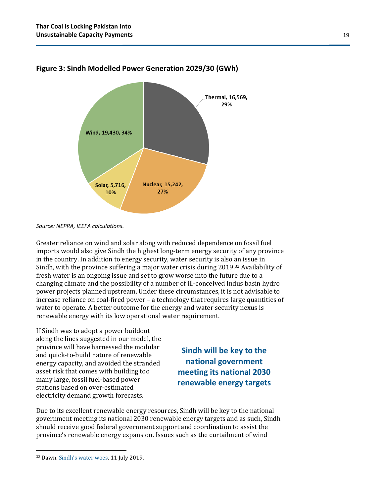

#### **Figure 3: Sindh Modelled Power Generation 2029/30 (GWh)**

Greater reliance on wind and solar along with reduced dependence on fossil fuel imports would also give Sindh the highest long-term energy security of any province in the country. In addition to energy security, water security is also an issue in Sindh, with the province suffering a major water crisis during 2019.32 Availability of fresh water is an ongoing issue and set to grow worse into the future due to a changing climate and the possibility of a number of ill-conceived Indus basin hydro power projects planned upstream. Under these circumstances, it is not advisable to increase reliance on coal-fired power – a technology that requires large quantities of water to operate. A better outcome for the energy and water security nexus is renewable energy with its low operational water requirement.

If Sindh was to adopt a power buildout along the lines suggested in our model, the province will have harnessed the modular and quick-to-build nature of renewable energy capacity, and avoided the stranded asset risk that comes with building too many large, fossil fuel-based power stations based on over-estimated electricity demand growth forecasts.

**Sindh will be key to the national government meeting its national 2030 renewable energy targets**

Due to its excellent renewable energy resources, Sindh will be key to the national government meeting its national 2030 renewable energy targets and as such, Sindh should receive good federal government support and coordination to assist the province's renewable energy expansion. Issues such as the curtailment of wind

*Source: NEPRA, IEEFA calculations.*

<sup>32</sup> Dawn. [Sindh's water woes](https://www.dawn.com/news/1493395). 11 July 2019.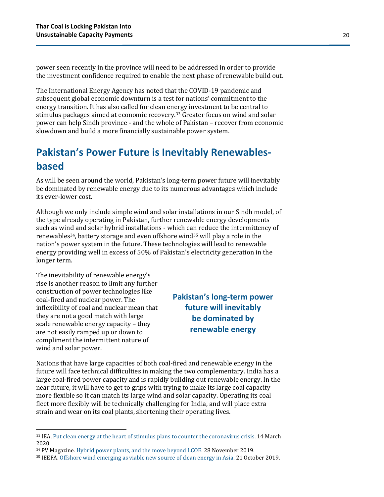power seen recently in the province will need to be addressed in order to provide the investment confidence required to enable the next phase of renewable build out.

The International Energy Agency has noted that the COVID-19 pandemic and subsequent global economic downturn is a test for nations' commitment to the energy transition. It has also called for clean energy investment to be central to stimulus packages aimed at economic recovery.33 Greater focus on wind and solar power can help Sindh province - and the whole of Pakistan – recover from economic slowdown and build a more financially sustainable power system.

## <span id="page-19-0"></span>**Pakistan's Power Future is Inevitably Renewablesbased**

As will be seen around the world, Pakistan's long-term power future will inevitably be dominated by renewable energy due to its numerous advantages which include its ever-lower cost.

Although we only include simple wind and solar installations in our Sindh model, of the type already operating in Pakistan, further renewable energy developments such as wind and solar hybrid installations - which can reduce the intermittency of renewables34, battery storage and even offshore wind35 will play a role in the nation's power system in the future. These technologies will lead to renewable energy providing well in excess of 50% of Pakistan's electricity generation in the longer term.

The inevitability of renewable energy's rise is another reason to limit any further construction of power technologies like coal-fired and nuclear power. The inflexibility of coal and nuclear mean that they are not a good match with large scale renewable energy capacity – they are not easily ramped up or down to compliment the intermittent nature of wind and solar power.

**Pakistan's long-term power future will inevitably be dominated by renewable energy**

Nations that have large capacities of both coal-fired and renewable energy in the future will face technical difficulties in making the two complementary. India has a large coal-fired power capacity and is rapidly building out renewable energy. In the near future, it will have to get to grips with trying to make its large coal capacity more flexible so it can match its large wind and solar capacity. Operating its coal fleet more flexibly will be technically challenging for India, and will place extra strain and wear on its coal plants, shortening their operating lives.

<sup>&</sup>lt;sup>33</sup> IEA. [Put clean energy at the heart of stimulus plans to counter the coronavirus crisis.](https://www.iea.org/commentaries/put-clean-energy-at-the-heart-of-stimulus-plans-to-counter-the-coronavirus-crisis) 14 March 2020.

<sup>34</sup> PV Magazine[. Hybrid power plants, and the move beyond LCOE.](https://www.pv-magazine.com/2019/11/28/hybrid-power-plants-and-the-move-beyond-lcoe/) 28 November 2019.

<sup>35</sup> IEEFA[. Offshore wind emerging as viable new source of clean energy in Asia.](https://ieefa.org/ieefa-update-offshore-wind-emerging-as-viable-new-source-of-clean-energy-in-asia/) 21 October 2019.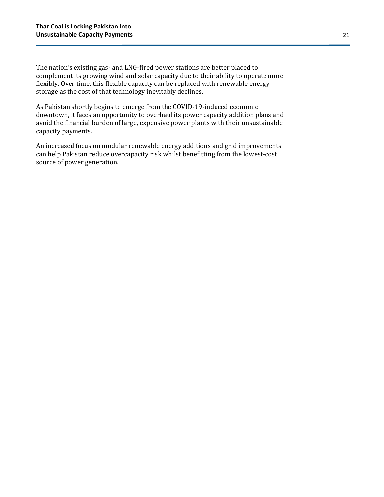The nation's existing gas- and LNG-fired power stations are better placed to complement its growing wind and solar capacity due to their ability to operate more flexibly. Over time, this flexible capacity can be replaced with renewable energy storage as the cost of that technology inevitably declines.

As Pakistan shortly begins to emerge from the COVID-19-induced economic downtown, it faces an opportunity to overhaul its power capacity addition plans and avoid the financial burden of large, expensive power plants with their unsustainable capacity payments.

An increased focus on modular renewable energy additions and grid improvements can help Pakistan reduce overcapacity risk whilst benefitting from the lowest-cost source of power generation.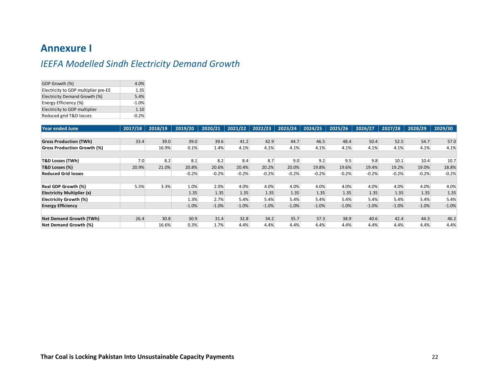### **Annexure I**

## *IEEFA Modelled Sindh Electricity Demand Growth*

| GDP Growth (%)                       | 4.0%    |
|--------------------------------------|---------|
| Electricity to GDP multiplier pre-EE | 1.35    |
| Electricity Demand Growth (%)        | 5.4%    |
| Energy Efficiency (%)                | $-1.0%$ |
| Electricity to GDP multiplier        | 1.10    |
| Reduced grid T&D losses              | $-0.2%$ |

| Year ended June                    | 2017/18 | 2018/19 | 2019/20 | 2020/21 | 2021/22 | 2022/23 | 2023/24 | 2024/25 | 2025/26 | 2026/27 | 2027/28 | 2028/29 | 2029/30 |
|------------------------------------|---------|---------|---------|---------|---------|---------|---------|---------|---------|---------|---------|---------|---------|
|                                    |         |         |         |         |         |         |         |         |         |         |         |         |         |
| <b>Gross Production (TWh)</b>      | 33.4    | 39.0    | 39.0    | 39.6    | 41.2    | 42.9    | 44.7    | 46.5    | 48.4    | 50.4    | 52.5    | 54.7    | 57.0    |
| <b>Gross Production Growth (%)</b> |         | 16.9%   | 0.1%    | 1.4%    | 4.1%    | 4.1%    | 4.1%    | 4.1%    | 4.1%    | 4.1%    | 4.1%    | 4.1%    | 4.1%    |
|                                    |         |         |         |         |         |         |         |         |         |         |         |         |         |
| <b>T&amp;D Losses (TWh)</b>        | 7.0     | 8.2     | 8.1     | 8.2     | 8.4     | 8.7     | 9.0     | 9.2     | 9.5     | 9.8     | 10.1    | 10.4    | 10.7    |
| T&D Losses (%)                     | 20.9%   | 21.0%   | 20.8%   | 20.6%   | 20.4%   | 20.2%   | 20.0%   | 19.8%   | 19.6%   | 19.4%   | 19.2%   | 19.0%   | 18.8%   |
| <b>Reduced Grid losses</b>         |         |         | $-0.2%$ | $-0.2%$ | $-0.2%$ | $-0.2%$ | $-0.2%$ | $-0.2%$ | $-0.2%$ | $-0.2%$ | $-0.2%$ | $-0.2%$ | $-0.2%$ |
|                                    |         |         |         |         |         |         |         |         |         |         |         |         |         |
| <b>Real GDP Growth (%)</b>         | 5.5%    | 3.3%    | 1.0%    | 2.0%    | 4.0%    | 4.0%    | 4.0%    | 4.0%    | 4.0%    | 4.0%    | 4.0%    | 4.0%    | 4.0%    |
| Electricity Multiplier (x)         |         |         | 1.35    | 1.35    | 1.35    | 1.35    | 1.35    | 1.35    | 1.35    | 1.35    | 1.35    | 1.35    | 1.35    |
| Electricity Growth (%)             |         |         | 1.3%    | 2.7%    | 5.4%    | 5.4%    | 5.4%    | 5.4%    | 5.4%    | 5.4%    | 5.4%    | 5.4%    | 5.4%    |
| <b>Energy Efficiency</b>           |         |         | $-1.0%$ | $-1.0%$ | $-1.0%$ | $-1.0%$ | $-1.0%$ | $-1.0%$ | $-1.0%$ | $-1.0%$ | $-1.0%$ | $-1.0%$ | $-1.0%$ |
|                                    |         |         |         |         |         |         |         |         |         |         |         |         |         |
| Net Demand Growth (TWh)            | 26.4    | 30.8    | 30.9    | 31.4    | 32.8    | 34.2    | 35.7    | 37.3    | 38.9    | 40.6    | 42.4    | 44.3    | 46.2    |
| Net Demand Growth (%)              |         | 16.6%   | 0.3%    | 1.7%    | 4.4%    | 4.4%    | 4.4%    | 4.4%    | 4.4%    | 4.4%    | 4.4%    | 4.4%    | 4.4%    |